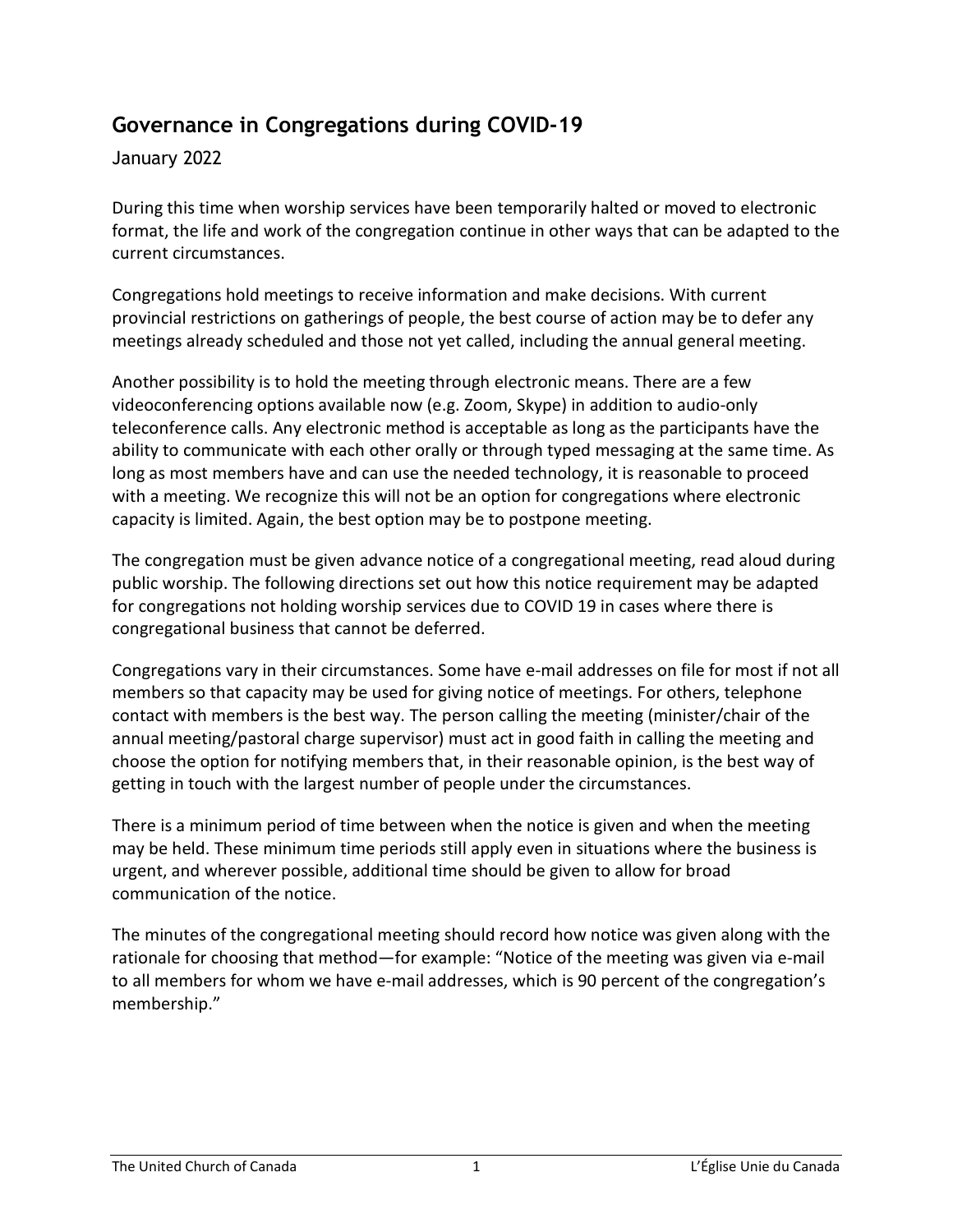## **Governance in Congregations during COVID-19**

## January 2022

During this time when worship services have been temporarily halted or moved to electronic format, the life and work of the congregation continue in other ways that can be adapted to the current circumstances.

Congregations hold meetings to receive information and make decisions. With current provincial restrictions on gatherings of people, the best course of action may be to defer any meetings already scheduled and those not yet called, including the annual general meeting.

Another possibility is to hold the meeting through electronic means. There are a few videoconferencing options available now (e.g. Zoom, Skype) in addition to audio-only teleconference calls. Any electronic method is acceptable as long as the participants have the ability to communicate with each other orally or through typed messaging at the same time. As long as most members have and can use the needed technology, it is reasonable to proceed with a meeting. We recognize this will not be an option for congregations where electronic capacity is limited. Again, the best option may be to postpone meeting.

The congregation must be given advance notice of a congregational meeting, read aloud during public worship. The following directions set out how this notice requirement may be adapted for congregations not holding worship services due to COVID 19 in cases where there is congregational business that cannot be deferred.

Congregations vary in their circumstances. Some have e-mail addresses on file for most if not all members so that capacity may be used for giving notice of meetings. For others, telephone contact with members is the best way. The person calling the meeting (minister/chair of the annual meeting/pastoral charge supervisor) must act in good faith in calling the meeting and choose the option for notifying members that, in their reasonable opinion, is the best way of getting in touch with the largest number of people under the circumstances.

There is a minimum period of time between when the notice is given and when the meeting may be held. These minimum time periods still apply even in situations where the business is urgent, and wherever possible, additional time should be given to allow for broad communication of the notice.

The minutes of the congregational meeting should record how notice was given along with the rationale for choosing that method—for example: "Notice of the meeting was given via e-mail to all members for whom we have e-mail addresses, which is 90 percent of the congregation's membership."